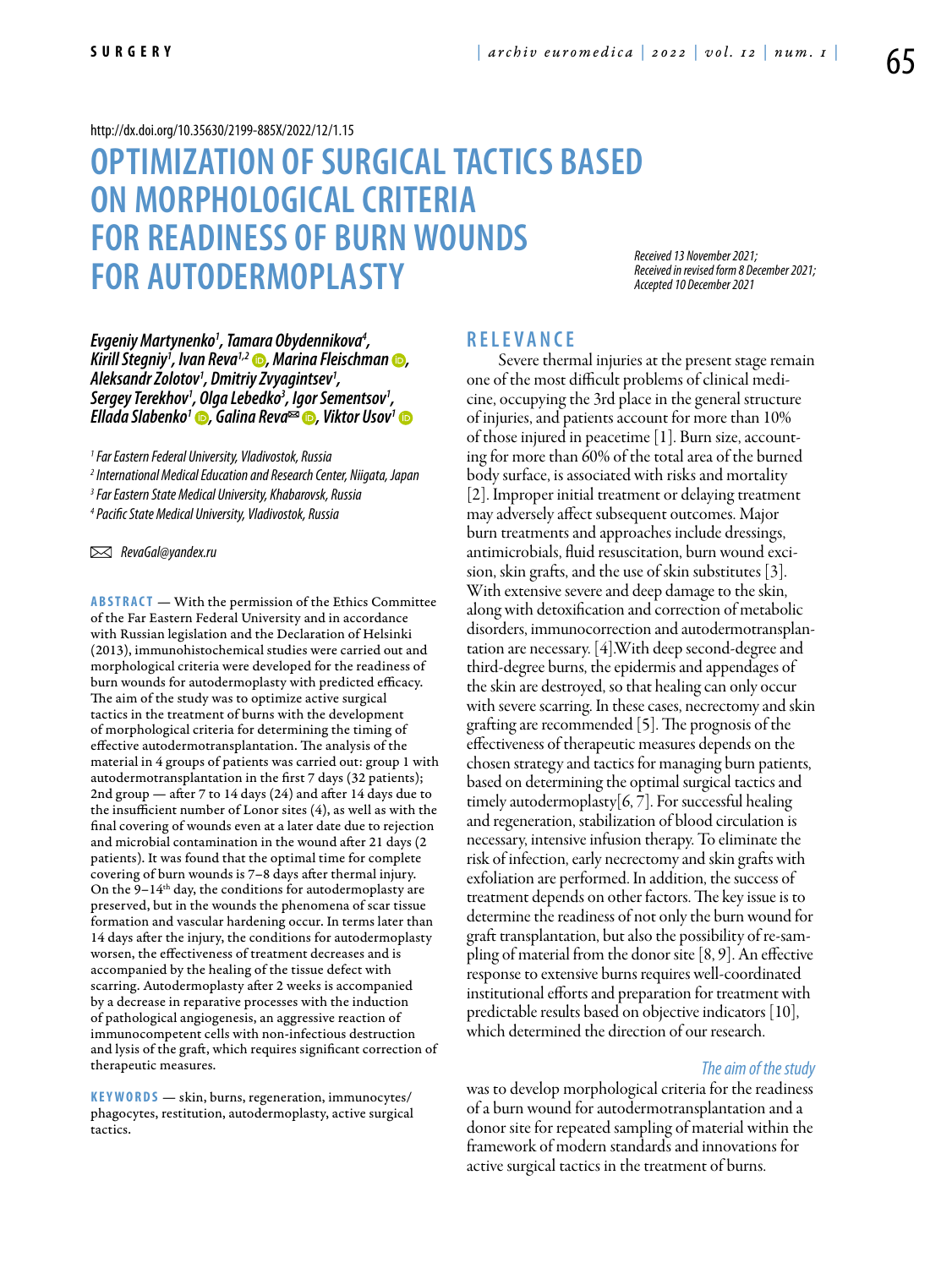#### <http://dx.doi.org/10.35630/2199-885X/2022/12/1.15>

# **Optimization of surgical tactics based on morphological criteria for readiness of burn wounds for autodermoplasty**

*Received 13 November 2021; Received in revised form 8 December 2021; Accepted 10 December 2021*

*Evgeniy Martynenko1 , Tamara Obydennikova4* Evgeniy Martynenko<sup>1</sup>, Tamara Obydennikova<sup>4</sup>,<br>Kirill Stegniy<sup>1</sup>, Ivan Reva<sup>1,2</sup> ©, Marina Fleischm *, Ivan Reva1,2 , [Marina Fleischman](https://orcid.org/00000002-9337-2801) , Aleksandr Zolotov1* Aleksandr *Zolotov<sup>1</sup>*, Dmitriy Zvyagintsev<sup>1</sup>, *, Sergey Terekhov1 , Olga Lebedko3 , Igor Sementsov1 [,](https://orcid.org/0000-0002-1182-7551) [Ellada Slabenko](https://orcid.org/0000-0002-9946-2525)1 , Galina Reva , Viktor Usov1*

*1 Far Eastern Federal University, Vladivostok, Russia*

*2 International Medical Education and Research Center, Niigata, Japan*

*3 Far Eastern State Medical University, Khabarovsk, Russia* 

*4 Pacific State Medical University, Vladivostok, Russia* 

 *RevaGal@yandex.ru* 

**ABSTRACT** — With the permission of the Ethics Committee of the Far Eastern Federal University and in accordance with Russian legislation and the Declaration of Helsinki (2013), immunohistochemical studies were carried out and morphological criteria were developed for the readiness of burn wounds for autodermoplasty with predicted efficacy. The aim of the study was to optimize active surgical tactics in the treatment of burns with the development of morphological criteria for determining the timing of effective autodermotransplantation. The analysis of the material in 4 groups of patients was carried out: group 1 with autodermotransplantation in the first 7 days (32 patients); 2nd group — after 7 to 14 days (24) and after 14 days due to the insufficient number of Lonor sites (4), as well as with the final covering of wounds even at a later date due to rejection and microbial contamination in the wound after 21 days (2 patients). It was found that the optimal time for complete covering of burn wounds is 7–8 days after thermal injury. On the 9-14<sup>th</sup> day, the conditions for autodermoplasty are preserved, but in the wounds the phenomena of scar tissue formation and vascular hardening occur. In terms later than 14 days after the injury, the conditions for autodermoplasty worsen, the effectiveness of treatment decreases and is accompanied by the healing of the tissue defect with scarring. Autodermoplasty after 2 weeks is accompanied by a decrease in reparative processes with the induction of pathological angiogenesis, an aggressive reaction of immunocompetent cells with non-infectious destruction and lysis of the graft, which requires significant correction of therapeutic measures.

KEYWORDS — skin, burns, regeneration, immunocytes/ phagocytes, restitution, autodermoplasty, active surgical tactics.

## **R e l e v a n ce**

Severe thermal injuries at the present stage remain one of the most difficult problems of clinical medicine, occupying the 3rd place in the general structure of injuries, and patients account for more than 10% of those injured in peacetime [1]. Burn size, accounting for more than 60% of the total area of the burned body surface, is associated with risks and mortality [2]. Improper initial treatment or delaying treatment may adversely affect subsequent outcomes. Major burn treatments and approaches include dressings, antimicrobials, fluid resuscitation, burn wound excision, skin grafts, and the use of skin substitutes [3]. With extensive severe and deep damage to the skin, along with detoxification and correction of metabolic disorders, immunocorrection and autodermotransplantation are necessary. [4].With deep second-degree and third-degree burns, the epidermis and appendages of the skin are destroyed, so that healing can only occur with severe scarring. In these cases, necrectomy and skin grafting are recommended [5]. The prognosis of the effectiveness of therapeutic measures depends on the chosen strategy and tactics for managing burn patients, based on determining the optimal surgical tactics and timely autodermoplasty[6, 7]. For successful healing and regeneration, stabilization of blood circulation is necessary, intensive infusion therapy. To eliminate the risk of infection, early necrectomy and skin grafts with exfoliation are performed. In addition, the success of treatment depends on other factors. The key issue is to determine the readiness of not only the burn wound for graft transplantation, but also the possibility of re-sampling of material from the donor site [8, 9]. An effective response to extensive burns requires well-coordinated institutional efforts and preparation for treatment with predictable results based on objective indicators [10], which determined the direction of our research.

#### *The aim of the study*

was to develop morphological criteria for the readiness of a burn wound for autodermotransplantation and a donor site for repeated sampling of material within the framework of modern standards and innovations for active surgical tactics in the treatment of burns.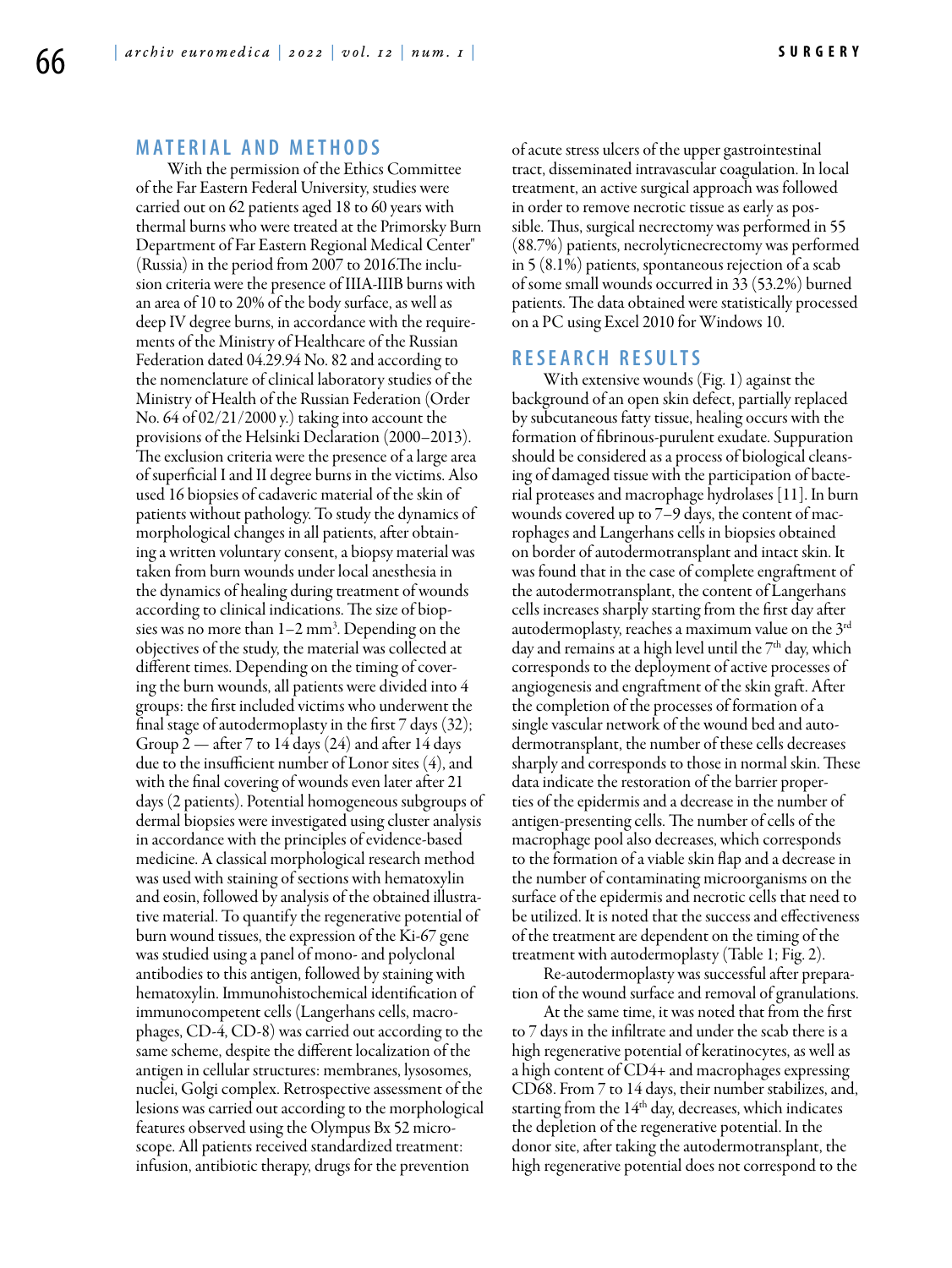## **MATERIAL AND METHODS**

With the permission of the Ethics Committee of the Far Eastern Federal University, studies were carried out on 62 patients aged 18 to 60 years with thermal burns who were treated at the Primorsky Burn Department of Far Eastern Regional Medical Center" (Russia) in the period from 2007 to 2016.The inclusion criteria were the presence of IIIA-IIIB burns with an area of 10 to 20% of the body surface, as well as deep IV degree burns, in accordance with the requirements of the Ministry of Healthcare of the Russian Federation dated 04.29.94 No. 82 and according to the nomenclature of clinical laboratory studies of the Ministry of Health of the Russian Federation (Order No. 64 of 02/21/2000 y.) taking into account the provisions of the Helsinki Declaration (2000–2013). The exclusion criteria were the presence of a large area of superficial I and II degree burns in the victims. Also used 16 biopsies of cadaveric material of the skin of patients without pathology. To study the dynamics of morphological changes in all patients, after obtaining a written voluntary consent, a biopsy material was taken from burn wounds under local anesthesia in the dynamics of healing during treatment of wounds according to clinical indications. The size of biopsies was no more than 1–2 mm<sup>3</sup>. Depending on the objectives of the study, the material was collected at different times. Depending on the timing of covering the burn wounds, all patients were divided into 4 groups: the first included victims who underwent the final stage of autodermoplasty in the first 7 days (32); Group  $2$  — after 7 to 14 days (24) and after 14 days due to the insufficient number of Lonor sites (4), and with the final covering of wounds even later after 21 days (2 patients). Potential homogeneous subgroups of dermal biopsies were investigated using cluster analysis in accordance with the principles of evidence-based medicine. A classical morphological research method was used with staining of sections with hematoxylin and eosin, followed by analysis of the obtained illustrative material. To quantify the regenerative potential of burn wound tissues, the expression of the Ki-67 gene was studied using a panel of mono- and polyclonal antibodies to this antigen, followed by staining with hematoxylin. Immunohistochemical identification of immunocompetent cells (Langerhans cells, macrophages, CD-4, CD-8) was carried out according to the same scheme, despite the different localization of the antigen in cellular structures: membranes, lysosomes, nuclei, Golgi complex. Retrospective assessment of the lesions was carried out according to the morphological features observed using the Olympus Bx 52 microscope. All patients received standardized treatment: infusion, antibiotic therapy, drugs for the prevention

of acute stress ulcers of the upper gastrointestinal tract, disseminated intravascular coagulation. In local treatment, an active surgical approach was followed in order to remove necrotic tissue as early as possible. Thus, surgical necrectomy was performed in 55 (88.7%) patients, necrolyticnecrectomy was performed in 5 (8.1%) patients, spontaneous rejection of a scab of some small wounds occurred in 33 (53.2%) burned patients. The data obtained were statistically processed on a PC using Excel 2010 for Windows 10.

## **R e s e a r c h R e s u l t s**

With extensive wounds (Fig. 1) against the background of an open skin defect, partially replaced by subcutaneous fatty tissue, healing occurs with the formation of fibrinous-purulent exudate. Suppuration should be considered as a process of biological cleansing of damaged tissue with the participation of bacterial proteases and macrophage hydrolases [11]. In burn wounds covered up to 7–9 days, the content of macrophages and Langerhans cells in biopsies obtained on border of autodermotransplant and intact skin. It was found that in the case of complete engraftment of the autodermotransplant, the content of Langerhans cells increases sharply starting from the first day after autodermoplasty, reaches a maximum value on the 3rd day and remains at a high level until the  $7<sup>th</sup>$  day, which corresponds to the deployment of active processes of angiogenesis and engraftment of the skin graft. After the completion of the processes of formation of a single vascular network of the wound bed and autodermotransplant, the number of these cells decreases sharply and corresponds to those in normal skin. These data indicate the restoration of the barrier properties of the epidermis and a decrease in the number of antigen-presenting cells. The number of cells of the macrophage pool also decreases, which corresponds to the formation of a viable skin flap and a decrease in the number of contaminating microorganisms on the surface of the epidermis and necrotic cells that need to be utilized. It is noted that the success and effectiveness of the treatment are dependent on the timing of the treatment with autodermoplasty (Table 1; Fig. 2).

Re-autodermoplasty was successful after preparation of the wound surface and removal of granulations.

At the same time, it was noted that from the first to 7 days in the infiltrate and under the scab there is a high regenerative potential of keratinocytes, as well as a high content of CD4+ and macrophages expressing CD68. From 7 to 14 days, their number stabilizes, and, starting from the  $14<sup>th</sup>$  day, decreases, which indicates the depletion of the regenerative potential. In the donor site, after taking the autodermotransplant, the high regenerative potential does not correspond to the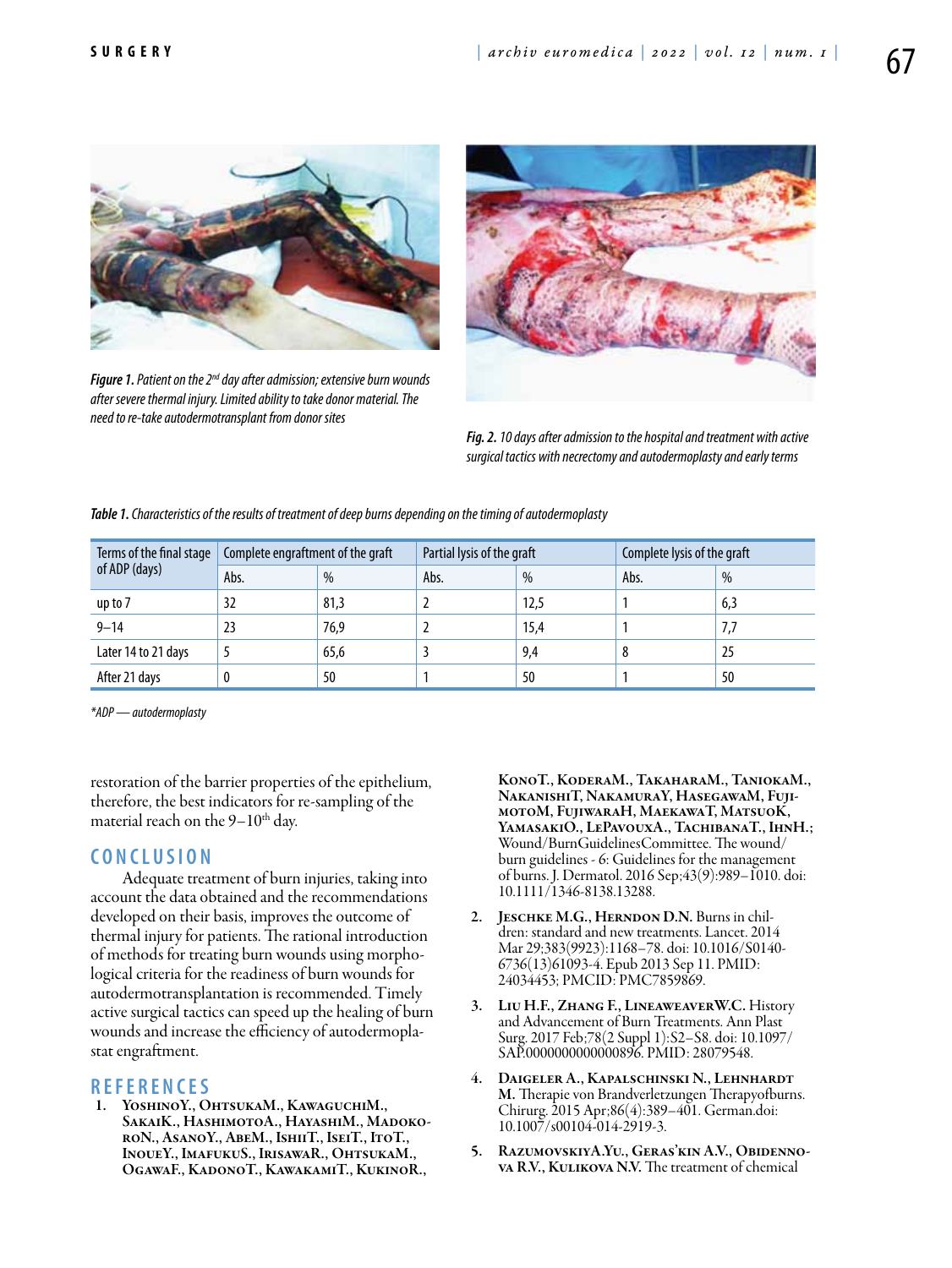





*Fig. 2. 10 days after admission to the hospital and treatment with active surgical tactics with necrectomy and autodermoplasty and early terms*

| Terms of the final stage<br>of ADP (days) | Complete engraftment of the graft |      | Partial lysis of the graft |      | Complete lysis of the graft |     |
|-------------------------------------------|-----------------------------------|------|----------------------------|------|-----------------------------|-----|
|                                           | Abs.                              | %    | Abs.                       | %    | Abs.                        | %   |
| up to 7                                   | 32                                | 81,3 |                            | 12,5 |                             | 6,3 |
| $9 - 14$                                  | 23                                | 76,9 |                            | 15,4 |                             | 7,7 |
| Later 14 to 21 days                       |                                   | 65,6 |                            | 9,4  | Ŏ                           | 25  |
| After 21 days                             |                                   | 50   |                            | 50   |                             | 50  |

*\*ADP — autodermoplasty*

restoration of the barrier properties of the epithelium, therefore, the best indicators for re-sampling of the material reach on the  $9-10^{th}$  day.

## **C o n cl u s i o n**

Adequate treatment of burn injuries, taking into account the data obtained and the recommendations developed on their basis, improves the outcome of thermal injury for patients. The rational introduction of methods for treating burn wounds using morphological criteria for the readiness of burn wounds for autodermotransplantation is recommended. Timely active surgical tactics can speed up the healing of burn wounds and increase the efficiency of autodermoplastat engraftment.

#### **R e f e r e n ce s**

1. YoshinoY., OhtsukaM., KawaguchiM.,<br>SakaiK., HashimotoA., HayashiM., Madoko-RON., ASANOY., ABEM., ISHIIT., ISEIT., ITOT., InoueY., ImafukuS., IrisawaR., OhtsukaM., OgawaF., KadonoT., KawakamiT., KukinoR.,

KonoT., KoderaM., TakaharaM., TaniokaM.,<br>NakanishiT, NakamuraY, HasegawaM, Fuji-MOTOM, FUJIWARAH, MAEKAWAT, MATSUOK, YAMASAKIO., LEPAVOUXA., TACHIBANAT., IHNH.; Wound/BurnGuidelinesCommittee. The wound/ burn guidelines - 6: Guidelines for the management of burns. J. Dermatol. 2016 Sep;43(9):989–1010. doi: 10.1111/1346-8138.13288.

- 2. JESCHKE M.G., HERNDON D.N. Burns in children: standard and new treatments. Lancet. 2014 Mar 29;383(9923):1168–78. doi: 10.1016/S0140- 6736(13)61093-4. Epub 2013 Sep 11. PMID: 24034453; PMCID: PMC7859869.
- 3. Liu H.F., Zhang F., LineaweaverW.C. History and Advancement of Burn Treatments. Ann Plast Surg. 2017 Feb;78(2 Suppl 1):S2–S8. doi: 10.1097/ SAP.0000000000000896. PMID: 28079548.
- 4. Daigeler A., Kapalschinski N., Lehnhardt M. Therapie von Brandverletzungen Therapyofburns. Chirurg. 2015 Apr;86(4):389–401. German.doi: 10.1007/s00104-014-2919-3.
- 5. RazumovskiyA.Yu., Geras'kin A.V., Obidenno- va R.V., Kulikova N.V. The treatment of chemical